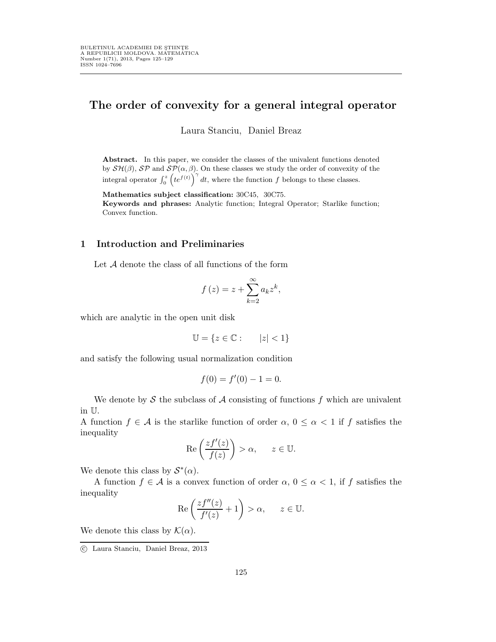## The order of convexity for a general integral operator

Laura Stanciu, Daniel Breaz

Abstract. In this paper, we consider the classes of the univalent functions denoted by  $\mathcal{SH}(\beta)$ ,  $\mathcal{SP}$  and  $\mathcal{SP}(\alpha, \beta)$ . On these classes we study the order of convexity of the integral operator  $\int_0^z \left(te^{f(t)}\right)^{\gamma} dt$ , where the function f belongs to these classes.

Mathematics subject classification: 30C45, 30C75. Keywords and phrases: Analytic function; Integral Operator; Starlike function; Convex function.

## 1 Introduction and Preliminaries

Let A denote the class of all functions of the form

$$
f(z) = z + \sum_{k=2}^{\infty} a_k z^k,
$$

which are analytic in the open unit disk

$$
\mathbb{U} = \{ z \in \mathbb{C} : |z| < 1 \}
$$

and satisfy the following usual normalization condition

$$
f(0) = f'(0) - 1 = 0.
$$

We denote by  $\mathcal S$  the subclass of  $\mathcal A$  consisting of functions f which are univalent in U.

A function  $f \in \mathcal{A}$  is the starlike function of order  $\alpha, 0 \leq \alpha < 1$  if f satisfies the inequality

$$
\operatorname{Re}\left(\frac{zf'(z)}{f(z)}\right) > \alpha, \qquad z \in \mathbb{U}.
$$

We denote this class by  $S^*(\alpha)$ .

A function  $f \in \mathcal{A}$  is a convex function of order  $\alpha, 0 \leq \alpha < 1$ , if f satisfies the inequality

$$
\operatorname{Re}\left(\frac{zf''(z)}{f'(z)}+1\right)>\alpha, \quad z\in\mathbb{U}.
$$

We denote this class by  $\mathcal{K}(\alpha)$ .

c Laura Stanciu, Daniel Breaz, 2013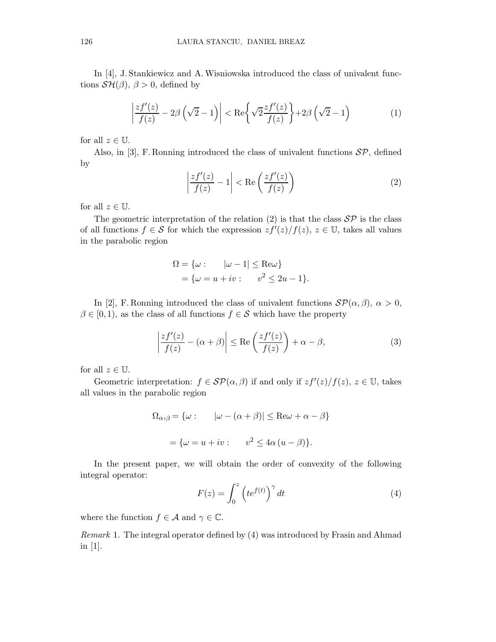In [4], J. Stankiewicz and A. Wisniowska introduced the class of univalent functions  $\mathcal{SH}(\beta)$ ,  $\beta > 0$ , defined by

$$
\left|\frac{zf'(z)}{f(z)} - 2\beta\left(\sqrt{2}-1\right)\right| < \text{Re}\left\{\sqrt{2}\frac{zf'(z)}{f(z)}\right\} + 2\beta\left(\sqrt{2}-1\right) \tag{1}
$$

for all  $z \in \mathbb{U}$ .

Also, in [3], F. Ronning introduced the class of univalent functions  $\mathcal{SP}$ , defined by

$$
\left|\frac{zf'(z)}{f(z)} - 1\right| < \text{Re}\left(\frac{zf'(z)}{f(z)}\right) \tag{2}
$$

for all  $z \in \mathbb{U}$ .

The geometric interpretation of the relation (2) is that the class  $\mathcal{SP}$  is the class of all functions  $f \in S$  for which the expression  $zf'(z)/f(z)$ ,  $z \in \mathbb{U}$ , takes all values in the parabolic region

$$
\Omega = \{\omega : \qquad |\omega - 1| \le \text{Re}\omega\}
$$
  
=  $\{\omega = u + iv : \qquad v^2 \le 2u - 1\}.$ 

In [2], F. Ronning introduced the class of univalent functions  $\mathcal{SP}(\alpha, \beta)$ ,  $\alpha > 0$ ,  $\beta \in [0, 1)$ , as the class of all functions  $f \in \mathcal{S}$  which have the property

$$
\left|\frac{zf'(z)}{f(z)} - (\alpha + \beta)\right| \le \text{Re}\left(\frac{zf'(z)}{f(z)}\right) + \alpha - \beta,\tag{3}
$$

for all  $z \in \mathbb{U}$ .

Geometric interpretation:  $f \in \mathcal{SP}(\alpha, \beta)$  if and only if  $zf'(z)/f(z), z \in \mathbb{U}$ , takes all values in the parabolic region

$$
\Omega_{\alpha,\beta} = \{ \omega : \qquad |\omega - (\alpha + \beta)| \le \text{Re}\omega + \alpha - \beta \}
$$

$$
= \{ \omega = u + iv : \qquad v^2 \le 4\alpha (u - \beta) \}.
$$

In the present paper, we will obtain the order of convexity of the following integral operator:

$$
F(z) = \int_0^z \left( t e^{f(t)} \right)^\gamma dt \tag{4}
$$

where the function  $f \in \mathcal{A}$  and  $\gamma \in \mathbb{C}$ .

Remark 1. The integral operator defined by (4) was introduced by Frasin and Ahmad in [1].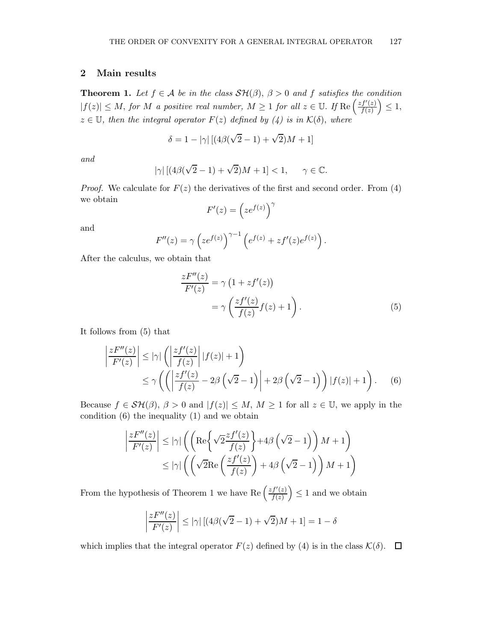## 2 Main results

**Theorem 1.** Let  $f \in A$  be in the class  $\mathcal{SH}(\beta)$ ,  $\beta > 0$  and f satisfies the condition  $|f(z)| \leq M$ , for M a positive real number,  $M \geq 1$  for all  $z \in \mathbb{U}$ . If  $\text{Re}\left(\frac{zf'(z)}{f(z)}\right)$  $\frac{f'(z)}{f(z)}\Big)\leq 1,$  $z \in \mathbb{U}$ , then the integral operator  $F(z)$  defined by (4) is in  $\mathcal{K}(\delta)$ , where

$$
\delta = 1 - |\gamma| \left[ \left( 4\beta(\sqrt{2} - 1) + \sqrt{2} \right) M + 1 \right]
$$

and

$$
|\gamma| \left[ (4\beta(\sqrt{2}-1) + \sqrt{2})M + 1 \right] < 1, \qquad \gamma \in \mathbb{C}.
$$

*Proof.* We calculate for  $F(z)$  the derivatives of the first and second order. From (4) we obtain γ

$$
F'(z) = \left(ze^{f(z)}\right)^{\gamma}
$$

and

$$
F''(z) = \gamma \left( z e^{f(z)} \right)^{\gamma - 1} \left( e^{f(z)} + z f'(z) e^{f(z)} \right).
$$

After the calculus, we obtain that

$$
\frac{zF''(z)}{F'(z)} = \gamma \left(1 + z f'(z)\right)
$$

$$
= \gamma \left(\frac{zf'(z)}{f(z)}f(z) + 1\right).
$$
(5)

It follows from (5) that

$$
\left| \frac{zF''(z)}{F'(z)} \right| \le |\gamma| \left( \left| \frac{zf'(z)}{f(z)} \right| |f(z)| + 1 \right)
$$
  
 
$$
\le \gamma \left( \left( \left| \frac{zf'(z)}{f(z)} - 2\beta \left( \sqrt{2} - 1 \right) \right| + 2\beta \left( \sqrt{2} - 1 \right) \right) |f(z)| + 1 \right).
$$
 (6)

Because  $f \in \mathcal{SH}(\beta), \beta > 0$  and  $|f(z)| \leq M, M \geq 1$  for all  $z \in \mathbb{U}$ , we apply in the condition (6) the inequality (1) and we obtain

$$
\left| \frac{zF''(z)}{F'(z)} \right| \le |\gamma| \left( \left( \text{Re} \left\{ \sqrt{2} \frac{zf'(z)}{f(z)} \right\} + 4\beta \left( \sqrt{2} - 1 \right) \right) M + 1 \right) \le |\gamma| \left( \left( \sqrt{2} \text{Re} \left( \frac{zf'(z)}{f(z)} \right) + 4\beta \left( \sqrt{2} - 1 \right) \right) M + 1 \right)
$$

From the hypothesis of Theorem 1 we have Re  $\left(\frac{zf'(z)}{f(z)}\right)$  $\left(\frac{f'(z)}{f(z)}\right) \leq 1$  and we obtain

$$
\left|\frac{zF''(z)}{F'(z)}\right| \le |\gamma| \left[ (4\beta(\sqrt{2}-1) + \sqrt{2})M + 1 \right] = 1 - \delta
$$

which implies that the integral operator  $F(z)$  defined by (4) is in the class  $\mathcal{K}(\delta)$ .  $\Box$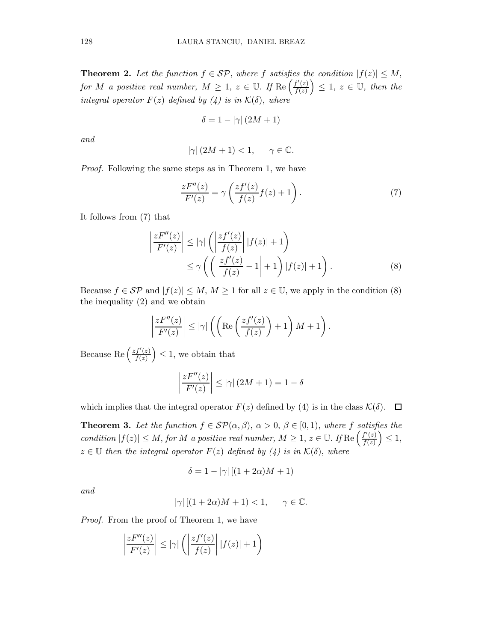**Theorem 2.** Let the function  $f \in \mathcal{SP}$ , where f satisfies the condition  $|f(z)| \leq M$ , for M a positive real number,  $M \geq 1$ ,  $z \in \mathbb{U}$ . If  $\text{Re}\left(\frac{f'(z)}{f(z)}\right)$  $\left(\frac{f'(z)}{f(z)}\right) \leq 1, \ z \in \mathbb{U}, \ then \ the$ integral operator  $F(z)$  defined by  $(4)$  is in  $\mathcal{K}(\delta)$ , where

$$
\delta = 1 - |\gamma| (2M + 1)
$$

and

$$
\left|\gamma\right|(2M+1)<1,\quad \ \ \gamma\in\mathbb{C}.
$$

Proof. Following the same steps as in Theorem 1, we have

$$
\frac{zF''(z)}{F'(z)} = \gamma \left( \frac{zf'(z)}{f(z)} f(z) + 1 \right). \tag{7}
$$

It follows from (7) that

$$
\left|\frac{zF''(z)}{F'(z)}\right| \le |\gamma| \left(\left|\frac{zf'(z)}{f(z)}\right| |f(z)| + 1\right)
$$
  
 
$$
\le \gamma \left(\left(\left|\frac{zf'(z)}{f(z)} - 1\right| + 1\right) |f(z)| + 1\right).
$$
 (8)

Because  $f \in \mathcal{SP}$  and  $|f(z)| \leq M, M \geq 1$  for all  $z \in \mathbb{U}$ , we apply in the condition (8) the inequality (2) and we obtain

$$
\left|\frac{zF''(z)}{F'(z)}\right| \leq |\gamma| \left( \left(\text{Re}\left(\frac{zf'(z)}{f(z)}\right) + 1\right)M + 1\right).
$$

Because Re  $\left(\frac{zf'(z)}{f(z)}\right)$  $\left(\frac{f'(z)}{f(z)}\right) \leq 1$ , we obtain that

$$
\left|\frac{zF''(z)}{F'(z)}\right| \le |\gamma| (2M+1) = 1 - \delta
$$

which implies that the integral operator  $F(z)$  defined by (4) is in the class  $\mathcal{K}(\delta)$ .  $\Box$ 

**Theorem 3.** Let the function  $f \in \mathcal{SP}(\alpha, \beta), \alpha > 0, \beta \in [0, 1),$  where f satisfies the condition  $|f(z)| \leq M$ , for M a positive real number,  $M \geq 1$ ,  $z \in \mathbb{U}$ . If Re  $\left(\frac{f'(z)}{f(z)}\right)$  $\frac{f'(z)}{f(z)}\Big)\leq 1,$  $z \in \mathbb{U}$  then the integral operator  $F(z)$  defined by (4) is in  $\mathcal{K}(\delta)$ , where

$$
\delta = 1 - |\gamma| \left[ (1 + 2\alpha)M + 1 \right]
$$

and

$$
|\gamma| \left[ (1+2\alpha)M + 1 \right] < 1, \qquad \gamma \in \mathbb{C}.
$$

Proof. From the proof of Theorem 1, we have

$$
\left|\frac{zF''(z)}{F'(z)}\right| \le |\gamma| \left(\left|\frac{zf'(z)}{f(z)}\right||f(z)|+1\right)
$$